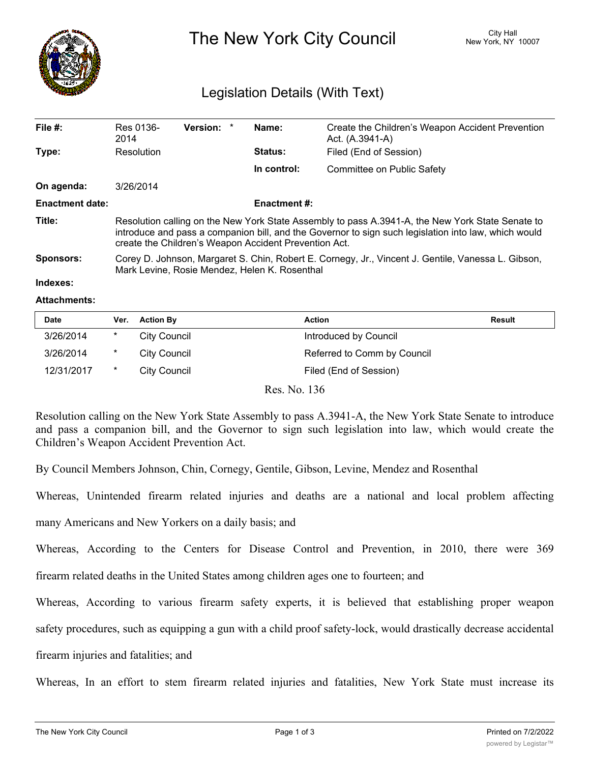

# The New York City Council New York, NY 10007

## Legislation Details (With Text)

| File $#$ :             | Res 0136-<br>2014                                                                                                                                                                                                                                                 | Version: * |  | Name:          | Create the Children's Weapon Accident Prevention<br>Act. (A.3941-A) |  |  |
|------------------------|-------------------------------------------------------------------------------------------------------------------------------------------------------------------------------------------------------------------------------------------------------------------|------------|--|----------------|---------------------------------------------------------------------|--|--|
| Type:                  | Resolution                                                                                                                                                                                                                                                        |            |  | <b>Status:</b> | Filed (End of Session)                                              |  |  |
|                        |                                                                                                                                                                                                                                                                   |            |  | In control:    | Committee on Public Safety                                          |  |  |
| On agenda:             | 3/26/2014                                                                                                                                                                                                                                                         |            |  |                |                                                                     |  |  |
| <b>Enactment date:</b> | <b>Enactment #:</b>                                                                                                                                                                                                                                               |            |  |                |                                                                     |  |  |
| Title:                 | Resolution calling on the New York State Assembly to pass A.3941-A, the New York State Senate to<br>introduce and pass a companion bill, and the Governor to sign such legislation into law, which would<br>create the Children's Weapon Accident Prevention Act. |            |  |                |                                                                     |  |  |
| Sponsors:              | Corey D. Johnson, Margaret S. Chin, Robert E. Cornegy, Jr., Vincent J. Gentile, Vanessa L. Gibson,<br>Mark Levine, Rosie Mendez, Helen K. Rosenthal                                                                                                               |            |  |                |                                                                     |  |  |

#### **Indexes:**

#### **Attachments:**

| <b>Date</b> | Ver. | <b>Action By</b> | Action                      | Result |
|-------------|------|------------------|-----------------------------|--------|
| 3/26/2014   | *    | City Council     | Introduced by Council       |        |
| 3/26/2014   | *    | City Council     | Referred to Comm by Council |        |
| 12/31/2017  | *    | City Council     | Filed (End of Session)      |        |

Res. No. 136

Resolution calling on the New York State Assembly to pass A.3941-A, the New York State Senate to introduce and pass a companion bill, and the Governor to sign such legislation into law, which would create the Children's Weapon Accident Prevention Act.

By Council Members Johnson, Chin, Cornegy, Gentile, Gibson, Levine, Mendez and Rosenthal

Whereas, Unintended firearm related injuries and deaths are a national and local problem affecting

many Americans and New Yorkers on a daily basis; and

Whereas, According to the Centers for Disease Control and Prevention, in 2010, there were 369

firearm related deaths in the United States among children ages one to fourteen; and

Whereas, According to various firearm safety experts, it is believed that establishing proper weapon

safety procedures, such as equipping a gun with a child proof safety-lock, would drastically decrease accidental

firearm injuries and fatalities; and

Whereas, In an effort to stem firearm related injuries and fatalities, New York State must increase its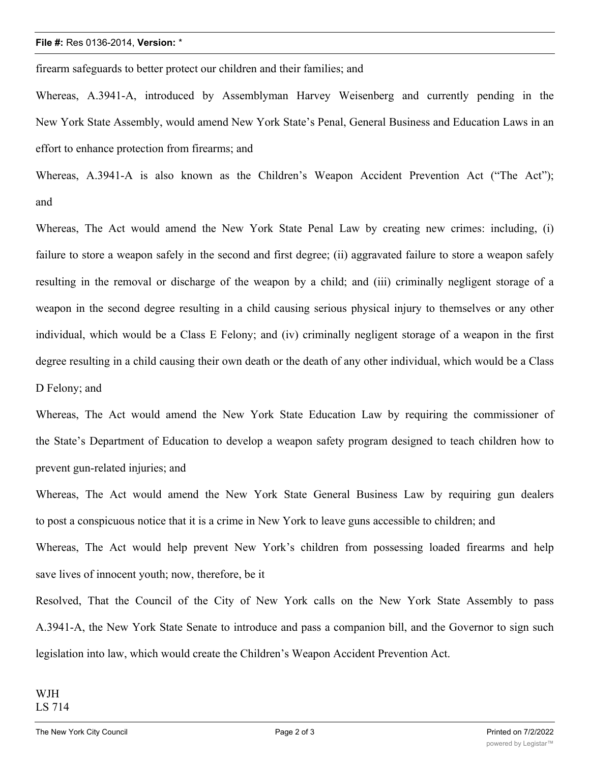#### **File #:** Res 0136-2014, **Version:** \*

firearm safeguards to better protect our children and their families; and

Whereas, A.3941-A, introduced by Assemblyman Harvey Weisenberg and currently pending in the New York State Assembly, would amend New York State's Penal, General Business and Education Laws in an effort to enhance protection from firearms; and

Whereas, A.3941-A is also known as the Children's Weapon Accident Prevention Act ("The Act"); and

Whereas, The Act would amend the New York State Penal Law by creating new crimes: including, (i) failure to store a weapon safely in the second and first degree; (ii) aggravated failure to store a weapon safely resulting in the removal or discharge of the weapon by a child; and (iii) criminally negligent storage of a weapon in the second degree resulting in a child causing serious physical injury to themselves or any other individual, which would be a Class E Felony; and (iv) criminally negligent storage of a weapon in the first degree resulting in a child causing their own death or the death of any other individual, which would be a Class D Felony; and

Whereas, The Act would amend the New York State Education Law by requiring the commissioner of the State's Department of Education to develop a weapon safety program designed to teach children how to prevent gun-related injuries; and

Whereas, The Act would amend the New York State General Business Law by requiring gun dealers to post a conspicuous notice that it is a crime in New York to leave guns accessible to children; and

Whereas, The Act would help prevent New York's children from possessing loaded firearms and help save lives of innocent youth; now, therefore, be it

Resolved, That the Council of the City of New York calls on the New York State Assembly to pass A.3941-A, the New York State Senate to introduce and pass a companion bill, and the Governor to sign such legislation into law, which would create the Children's Weapon Accident Prevention Act.